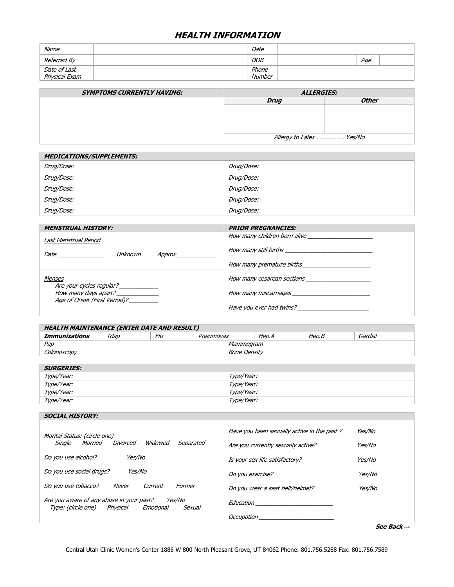## **HEALTH INFORMATION**

| Name          | Date       |     |  |
|---------------|------------|-----|--|
| Referred By   | <b>DOB</b> | Age |  |
| Date of Last  | Phone      |     |  |
| Physical Exam | Number     |     |  |

| <b>SYMPTOMS CURRENTLY HAVING:</b> | <i><b>ALLERGIES:</b></i> |              |  |
|-----------------------------------|--------------------------|--------------|--|
|                                   | <b>Drug</b>              | <b>Other</b> |  |
|                                   |                          |              |  |
|                                   |                          |              |  |
|                                   |                          |              |  |
|                                   |                          |              |  |
|                                   | Allergy to Latex Yes/No  |              |  |

| <b>MEDICATIONS/SUPPLEMENTS:</b> |            |  |  |
|---------------------------------|------------|--|--|
| Drug/Dose:                      | Drug/Dose: |  |  |
| Drug/Dose:                      | Drug/Dose: |  |  |
| Drug/Dose:                      | Drug/Dose: |  |  |
| Drug/Dose:                      | Drug/Dose: |  |  |
| Drug/Dose:                      | Drug/Dose: |  |  |

| <b>MENSTRUAL HISTORY:</b>                                                                                                                                                                                                                                       | <b>PRIOR PREGNANCIES:</b>                                                                                                                                                                                                            |  |
|-----------------------------------------------------------------------------------------------------------------------------------------------------------------------------------------------------------------------------------------------------------------|--------------------------------------------------------------------------------------------------------------------------------------------------------------------------------------------------------------------------------------|--|
| Last Menstrual Period                                                                                                                                                                                                                                           | How many children born alive                                                                                                                                                                                                         |  |
| Unknown<br><i>Date</i> the contract of the contract of the contract of the contract of the contract of the contract of the contract of the contract of the contract of the contract of the contract of the contract of the contract of the con<br><i>Approx</i> | How many still births <b>contained a state of the contact of the contact of the contact of the contact of the contact of the contact of the contact of the contact of the contact of the contact of the contact of the contact o</b> |  |
|                                                                                                                                                                                                                                                                 | How many premature births                                                                                                                                                                                                            |  |
| Menses                                                                                                                                                                                                                                                          | How many cesarean sections                                                                                                                                                                                                           |  |
| Are your cycles regular?<br>How many days apart? _____________<br>Age of Onset (First Period)?                                                                                                                                                                  |                                                                                                                                                                                                                                      |  |
|                                                                                                                                                                                                                                                                 | Have you ever had twins?                                                                                                                                                                                                             |  |

| <b>HEALTH MAINTENANCE (ENTER DATE AND RESULT)</b> |      |     |           |  |       |       |         |
|---------------------------------------------------|------|-----|-----------|--|-------|-------|---------|
| Immunizations                                     | ™dap | Flu | Pneumovax |  | Hep.A | Hep.B | Gardsil |
| Pap<br>Mammogram                                  |      |     |           |  |       |       |         |
| <i>Bone Densitv</i><br>Colonoscopv                |      |     |           |  |       |       |         |

| <b>SURGERIES:</b> |            |
|-------------------|------------|
| Type/Year:        | Type/Year: |
| Type/Year:        | Type/Year: |
| Type/Year:        | Type/Year: |
| Type/Year:        | Type/Year: |

| <b>SOCIAL HISTORY:</b>                                                                                                 |                                                                                                                    |                                          |  |
|------------------------------------------------------------------------------------------------------------------------|--------------------------------------------------------------------------------------------------------------------|------------------------------------------|--|
| Marital Status: (circle one)<br>Married<br>Widowed<br>Divorced<br>Single<br>Separated<br>Yes/No<br>Do you use alcohol? | Have you been sexually active in the past?<br>Are you currently sexually active?<br>Is your sex life satisfactory? | Yes/No<br><i>Yes/No</i><br><i>Yes/No</i> |  |
| <i>Yes/No</i><br>Do you use social drugs?                                                                              | Do you exercise?                                                                                                   | Yes/No                                   |  |
| Do you use tobacco?<br>Never<br>Current<br>Former                                                                      | Do you wear a seat belt/helmet?                                                                                    | Yes/No                                   |  |
| Are you aware of any abuse in your past?<br><i>Yes/No</i><br>Type: (circle one)<br>Emotional<br>Physical<br>Sexual     | Education                                                                                                          |                                          |  |
|                                                                                                                        | Occupation                                                                                                         |                                          |  |

**See Back** *→*